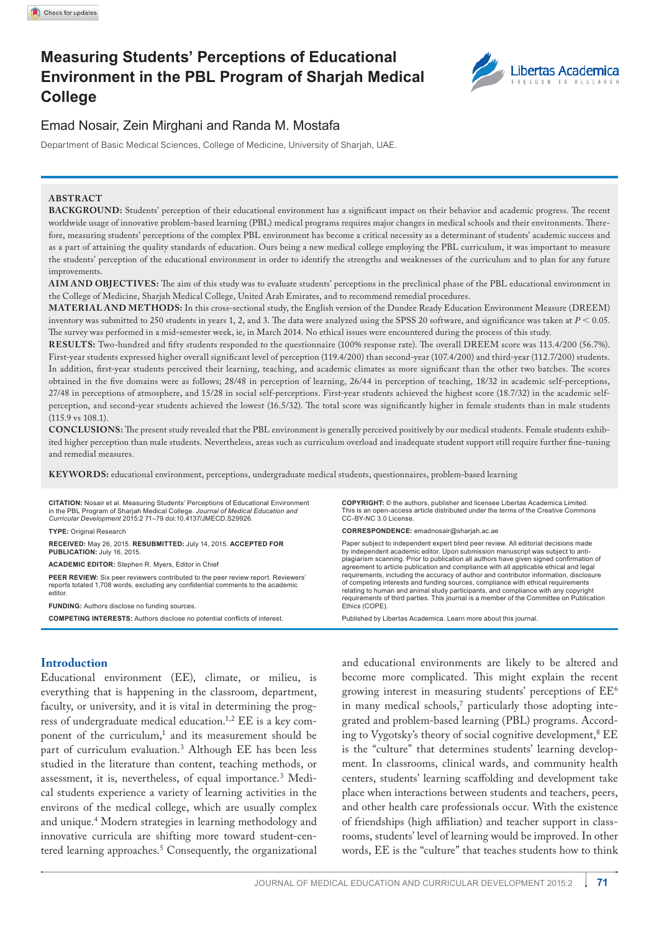# **Measuring Students' Perceptions of Educational Environment in the PBL Program of Sharjah Medical College**



## Emad Nosair, Zein Mirghani and Randa M. Mostafa

Department of Basic Medical Sciences, College of Medicine, University of Sharjah, UAE.

#### **ABSTRACT**

**BACKGROUND:** Students' perception of their educational environment has a significant impact on their behavior and academic progress. The recent worldwide usage of innovative problem-based learning (PBL) medical programs requires major changes in medical schools and their environments. Therefore, measuring students' perceptions of the complex PBL environment has become a critical necessity as a determinant of students' academic success and as a part of attaining the quality standards of education. Ours being a new medical college employing the PBL curriculum, it was important to measure the students' perception of the educational environment in order to identify the strengths and weaknesses of the curriculum and to plan for any future improvements.

**AIM AND OBJECTIVES:** The aim of this study was to evaluate students' perceptions in the preclinical phase of the PBL educational environment in the College of Medicine, Sharjah Medical College, United Arab Emirates, and to recommend remedial procedures.

**MATERIAL AND METHODS:** In this cross-sectional study, the English version of the Dundee Ready Education Environment Measure (DREEM) inventory was submitted to 250 students in years 1, 2, and 3. The data were analyzed using the SPSS 20 software, and significance was taken at  $P < 0.05$ . The survey was performed in a mid-semester week, ie, in March 2014. No ethical issues were encountered during the process of this study.

**RESULTS:** Two-hundred and fifty students responded to the questionnaire (100% response rate). The overall DREEM score was 113.4/200 (56.7%). First-year students expressed higher overall significant level of perception (119.4/200) than second-year (107.4/200) and third-year (112.7/200) students. In addition, first-year students perceived their learning, teaching, and academic climates as more significant than the other two batches. The scores obtained in the five domains were as follows; 28/48 in perception of learning, 26/44 in perception of teaching, 18/32 in academic self-perceptions, 27/48 in perceptions of atmosphere, and 15/28 in social self-perceptions. First-year students achieved the highest score (18.7/32) in the academic selfperception, and second-year students achieved the lowest (16.5/32). The total score was significantly higher in female students than in male students (115.9 vs 108.1).

**CONCLUSIONS:** The present study revealed that the PBL environment is generally perceived positively by our medical students. Female students exhibited higher perception than male students. Nevertheless, areas such as curriculum overload and inadequate student support still require further fine-tuning and remedial measures.

**KEY WORDS:** educational environment, perceptions, undergraduate medical students, questionnaires, problem-based learning

**CITATION:** Nosair et al. Measuring Students' Perceptions of Educational Environment in the pBl program of Sharjah Medical college. *Journal of Medical Education and Curricular Development* 2015:2 71–79 doi:10.4137/JMecd.S29926. **TYPE:** Original Research **RECEIVED:** May 26, 2015. **RESUBMITTED:** July 14, 2015. **ACCEPTED FOR PUBLICATION:** July 16, 2015. **ACADEMIC EDITOR:** Stephen R. Myers, Editor in Chief PEER REVIEW: Six peer reviewers contributed to the peer review report. Reviewers reports totaled 1,708 words, excluding any confidential comments to the academic editor. **FUNDING:** Authors disclose no funding sources. **COMPETING INTERESTS:** Authors disclose no potential conflicts of interest. **COPYRIGHT:** © the authors, publisher and licensee Libertas Academica Limited. This is an open-access article distributed under the terms of the Creative Commons cc-BY-nc 3.0 license. **CORRESPONDENCE:** emadnosair@sharjah.ac.ae Paper subject to independent expert blind peer review. All editorial decisions made by independent academic editor. Upon submission manuscript was subject to antiplagiarism scanning. Prior to publication all authors have given signed confirmation of agreement to article publication and compliance with all applicable ethical and legal requirements, including the accuracy of author and contributor information, disclosure of competing interests and funding sources, compliance with ethical requirements relating to human and animal study participants, and compliance with any copyright requirements of third parties. This journal is a member of the Committee on Publication<br>Ethics (COPE). Published by Libertas Academica. Learn more about this journal.

### **Introduction**

Educational environment (EE), climate, or milieu, is everything that is happening in the classroom, department, faculty, or university, and it is vital in determining the progress of undergraduate medical education.1,2 EE is a key component of the curriculum,<sup>1</sup> and its measurement should be part of curriculum evaluation.<sup>3</sup> Although EE has been less studied in the literature than content, teaching methods, or assessment, it is, nevertheless, of equal importance.<sup>3</sup> Medical students experience a variety of learning activities in the environs of the medical college, which are usually complex and unique.<sup>4</sup> Modern strategies in learning methodology and innovative curricula are shifting more toward student-centered learning approaches.<sup>5</sup> Consequently, the organizational

and educational environments are likely to be altered and become more complicated. This might explain the recent growing interest in measuring students' perceptions of  $EE^6$ in many medical schools,<sup>7</sup> particularly those adopting integrated and problem-based learning (PBL) programs. According to Vygotsky's theory of social cognitive development,<sup>8</sup> EE is the "culture" that determines students' learning development. In classrooms, clinical wards, and community health centers, students' learning scaffolding and development take place when interactions between students and teachers, peers, and other health care professionals occur. With the existence of friendships (high affiliation) and teacher support in classrooms, students' level of learning would be improved. In other words, EE is the "culture" that teaches students how to think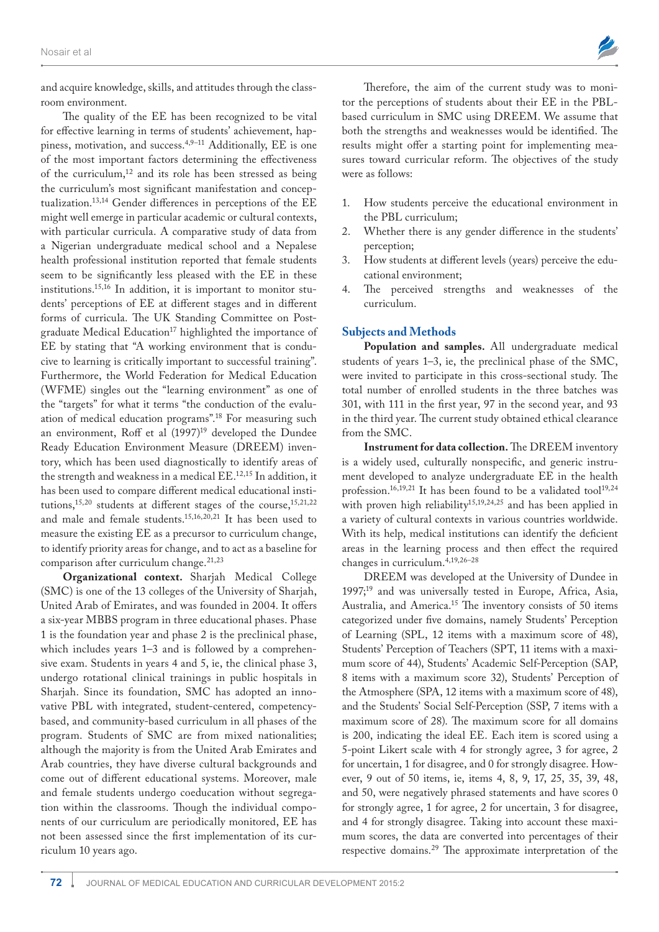

and acquire knowledge, skills, and attitudes through the classroom environment.

The quality of the EE has been recognized to be vital for effective learning in terms of students' achievement, happiness, motivation, and success.4,9–11 Additionally, EE is one of the most important factors determining the effectiveness of the curriculum,<sup>12</sup> and its role has been stressed as being the curriculum's most significant manifestation and conceptualization.13,14 Gender differences in perceptions of the EE might well emerge in particular academic or cultural contexts, with particular curricula. A comparative study of data from a Nigerian undergraduate medical school and a Nepalese health professional institution reported that female students seem to be significantly less pleased with the EE in these institutions.15,16 In addition, it is important to monitor students' perceptions of EE at different stages and in different forms of curricula. The UK Standing Committee on Postgraduate Medical Education<sup>17</sup> highlighted the importance of EE by stating that "A working environment that is conducive to learning is critically important to successful training". Furthermore, the World Federation for Medical Education (WFME) singles out the "learning environment" as one of the "targets" for what it terms "the conduction of the evaluation of medical education programs".<sup>18</sup> For measuring such an environment, Roff et al (1997)<sup>19</sup> developed the Dundee Ready Education Environment Measure (DREEM) inventory, which has been used diagnostically to identify areas of the strength and weakness in a medical EE.12,15 In addition, it has been used to compare different medical educational institutions,<sup>15,20</sup> students at different stages of the course,<sup>15,21,22</sup> and male and female students.15,16,20,21 It has been used to measure the existing EE as a precursor to curriculum change, to identify priority areas for change, and to act as a baseline for comparison after curriculum change.<sup>21,23</sup>

**Organizational context.** Sharjah Medical College (SMC) is one of the 13 colleges of the University of Sharjah, United Arab of Emirates, and was founded in 2004. It offers a six-year MBBS program in three educational phases. Phase 1 is the foundation year and phase 2 is the preclinical phase, which includes years 1–3 and is followed by a comprehensive exam. Students in years 4 and 5, ie, the clinical phase 3, undergo rotational clinical trainings in public hospitals in Sharjah. Since its foundation, SMC has adopted an innovative PBL with integrated, student-centered, competencybased, and community-based curriculum in all phases of the program. Students of SMC are from mixed nationalities; although the majority is from the United Arab Emirates and Arab countries, they have diverse cultural backgrounds and come out of different educational systems. Moreover, male and female students undergo coeducation without segregation within the classrooms. Though the individual components of our curriculum are periodically monitored, EE has not been assessed since the first implementation of its curriculum 10 years ago.

Therefore, the aim of the current study was to monitor the perceptions of students about their EE in the PBLbased curriculum in SMC using DREEM. We assume that both the strengths and weaknesses would be identified. The results might offer a starting point for implementing measures toward curricular reform. The objectives of the study were as follows:

- 1. How students perceive the educational environment in the PBL curriculum;
- 2. Whether there is any gender difference in the students' perception;
- 3. How students at different levels (years) perceive the educational environment;
- 4. The perceived strengths and weaknesses of the curriculum.

#### **Subjects and Methods**

**Population and samples.** All undergraduate medical students of years 1–3, ie, the preclinical phase of the SMC, were invited to participate in this cross-sectional study. The total number of enrolled students in the three batches was 301, with 111 in the first year, 97 in the second year, and 93 in the third year. The current study obtained ethical clearance from the SMC.

**Instrument for data collection.** The DREEM inventory is a widely used, culturally nonspecific, and generic instrument developed to analyze undergraduate EE in the health profession.<sup>16,19,21</sup> It has been found to be a validated tool<sup>19,24</sup> with proven high reliability<sup>15,19,24,25</sup> and has been applied in a variety of cultural contexts in various countries worldwide. With its help, medical institutions can identify the deficient areas in the learning process and then effect the required changes in curriculum.4,19,26–28

DREEM was developed at the University of Dundee in 1997;<sup>19</sup> and was universally tested in Europe, Africa, Asia, Australia, and America.<sup>15</sup> The inventory consists of 50 items categorized under five domains, namely Students' Perception of Learning (SPL, 12 items with a maximum score of 48), Students' Perception of Teachers (SPT, 11 items with a maximum score of 44), Students' Academic Self-Perception (SAP, 8 items with a maximum score 32), Students' Perception of the Atmosphere (SPA, 12 items with a maximum score of 48), and the Students' Social Self-Perception (SSP, 7 items with a maximum score of 28). The maximum score for all domains is 200, indicating the ideal EE. Each item is scored using a 5-point Likert scale with 4 for strongly agree, 3 for agree, 2 for uncertain, 1 for disagree, and 0 for strongly disagree. However, 9 out of 50 items, ie, items 4, 8, 9, 17, 25, 35, 39, 48, and 50, were negatively phrased statements and have scores 0 for strongly agree, 1 for agree, 2 for uncertain, 3 for disagree, and 4 for strongly disagree. Taking into account these maximum scores, the data are converted into percentages of their respective domains.29 The approximate interpretation of the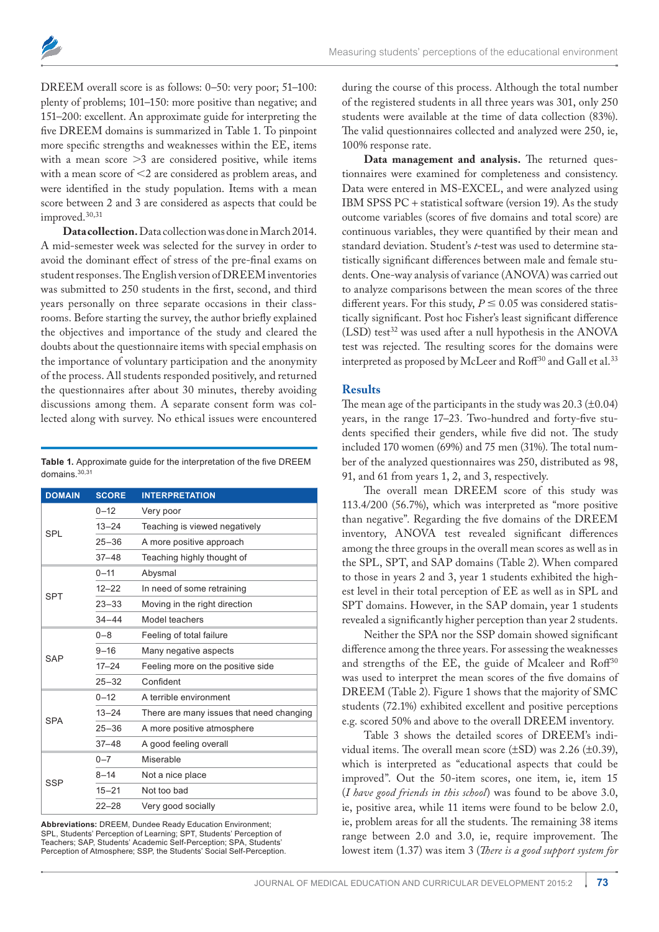

DREEM overall score is as follows: 0–50: very poor; 51–100: plenty of problems; 101–150: more positive than negative; and 151–200: excellent. An approximate guide for interpreting the five DREEM domains is summarized in Table 1. To pinpoint more specific strengths and weaknesses within the EE, items with a mean score  $>3$  are considered positive, while items with a mean score of  $<$ 2 are considered as problem areas, and were identified in the study population. Items with a mean score between 2 and 3 are considered as aspects that could be improved.30,31

**Data collection.**Data collection was done in March 2014. A mid-semester week was selected for the survey in order to avoid the dominant effect of stress of the pre-final exams on student responses. The English version of DREEM inventories was submitted to 250 students in the first, second, and third years personally on three separate occasions in their classrooms. Before starting the survey, the author briefly explained the objectives and importance of the study and cleared the doubts about the questionnaire items with special emphasis on the importance of voluntary participation and the anonymity of the process. All students responded positively, and returned the questionnaires after about 30 minutes, thereby avoiding discussions among them. A separate consent form was collected along with survey. No ethical issues were encountered

**Table 1.** Approximate guide for the interpretation of the five DREEM domains.30,31

| <b>DOMAIN</b> | <b>SCORE</b> | <b>INTERPRETATION</b>                    |  |
|---------------|--------------|------------------------------------------|--|
| <b>SPL</b>    | $0 - 12$     | Very poor                                |  |
|               | $13 - 24$    | Teaching is viewed negatively            |  |
|               | $25 - 36$    | A more positive approach                 |  |
|               | $37 - 48$    | Teaching highly thought of               |  |
| <b>SPT</b>    | $0 - 11$     | Abysmal                                  |  |
|               | $12 - 22$    | In need of some retraining               |  |
|               | $23 - 33$    | Moving in the right direction            |  |
|               | $34 - 44$    | Model teachers                           |  |
| SAP           | $0 - 8$      | Feeling of total failure                 |  |
|               | $9 - 16$     | Many negative aspects                    |  |
|               | $17 - 24$    | Feeling more on the positive side        |  |
|               | $25 - 32$    | Confident                                |  |
|               | $0 - 12$     | A terrible environment                   |  |
| <b>SPA</b>    | $13 - 24$    | There are many issues that need changing |  |
|               | $25 - 36$    | A more positive atmosphere               |  |
|               | $37 - 48$    | A good feeling overall                   |  |
| SSP           | $0 - 7$      | Miserable                                |  |
|               | $8 - 14$     | Not a nice place                         |  |
|               | $15 - 21$    | Not too bad                              |  |
|               | $22 - 28$    | Very good socially                       |  |

Abbreviations: DREEM, Dundee Ready Education Environment; SPL, Students' Perception of Learning; SPT, Students' Perception of Teachers; SAP, Students' Academic Self-Perception; SPA, Students' Perception of Atmosphere; SSP, the Students' Social Self-Perception. during the course of this process. Although the total number of the registered students in all three years was 301, only 250 students were available at the time of data collection (83%). The valid questionnaires collected and analyzed were 250, ie, 100% response rate.

**Data management and analysis.** The returned questionnaires were examined for completeness and consistency. Data were entered in MS-EXCEL, and were analyzed using IBM SPSS PC + statistical software (version 19). As the study outcome variables (scores of five domains and total score) are continuous variables, they were quantified by their mean and standard deviation. Student's *t*-test was used to determine statistically significant differences between male and female students. One-way analysis of variance (ANOVA) was carried out to analyze comparisons between the mean scores of the three different years. For this study,  $P \le 0.05$  was considered statistically significant. Post hoc Fisher's least significant difference  $(LSD)$  test<sup>32</sup> was used after a null hypothesis in the ANOVA test was rejected. The resulting scores for the domains were interpreted as proposed by McLeer and Roff<sup>30</sup> and Gall et al.<sup>33</sup>

#### **Results**

The mean age of the participants in the study was 20.3 (±0.04) years, in the range 17–23. Two-hundred and forty-five students specified their genders, while five did not. The study included 170 women (69%) and 75 men (31%). The total number of the analyzed questionnaires was 250, distributed as 98, 91, and 61 from years 1, 2, and 3, respectively.

The overall mean DREEM score of this study was 113.4/200 (56.7%), which was interpreted as "more positive than negative". Regarding the five domains of the DREEM inventory, ANOVA test revealed significant differences among the three groups in the overall mean scores as well as in the SPL, SPT, and SAP domains (Table 2). When compared to those in years 2 and 3, year 1 students exhibited the highest level in their total perception of EE as well as in SPL and SPT domains. However, in the SAP domain, year 1 students revealed a significantly higher perception than year 2 students.

Neither the SPA nor the SSP domain showed significant difference among the three years. For assessing the weaknesses and strengths of the EE, the guide of Mcaleer and Roff<sup>30</sup> was used to interpret the mean scores of the five domains of DREEM (Table 2). Figure 1 shows that the majority of SMC students (72.1%) exhibited excellent and positive perceptions e.g. scored 50% and above to the overall DREEM inventory.

Table 3 shows the detailed scores of DREEM's individual items. The overall mean score (±SD) was 2.26 (±0.39), which is interpreted as "educational aspects that could be improved". Out the 50-item scores, one item, ie, item 15 (*I have good friends in this school*) was found to be above 3.0, ie, positive area, while 11 items were found to be below 2.0, ie, problem areas for all the students. The remaining 38 items range between 2.0 and 3.0, ie, require improvement. The lowest item (1.37) was item 3 (*There is a good support system for*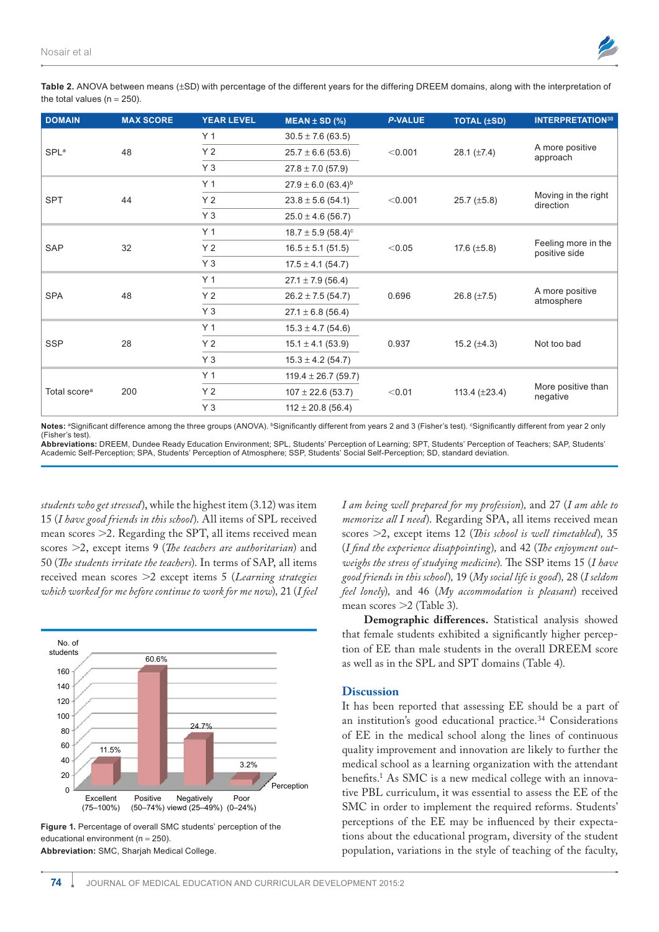

Table 2. ANOVA between means (±SD) with percentage of the different years for the differing DREEM domains, along with the interpretation of the total values ( $n = 250$ ).

| <b>DOMAIN</b>            | <b>MAX SCORE</b> | <b>YEAR LEVEL</b> | $MEAN \pm SD$ (%)                  | <b>P-VALUE</b> | <b>TOTAL (±SD)</b> | <b>INTERPRETATION30</b>              |
|--------------------------|------------------|-------------------|------------------------------------|----------------|--------------------|--------------------------------------|
| <b>SPL</b> <sup>a</sup>  |                  | Y <sub>1</sub>    | $30.5 \pm 7.6$ (63.5)              | < 0.001        |                    |                                      |
|                          | 48               | Y <sub>2</sub>    | $25.7 \pm 6.6$ (53.6)              |                | 28.1 $(\pm 7.4)$   | A more positive<br>approach          |
|                          |                  | $Y_3$             | $27.8 \pm 7.0$ (57.9)              |                |                    |                                      |
| <b>SPT</b>               |                  | Y <sub>1</sub>    | $27.9 \pm 6.0$ (63.4) <sup>b</sup> | < 0.001        |                    | Moving in the right<br>direction     |
|                          | 44               | Y <sub>2</sub>    | $23.8 \pm 5.6$ (54.1)              |                | 25.7 $(\pm 5.8)$   |                                      |
|                          |                  | $Y_3$             | $25.0 \pm 4.6$ (56.7)              |                |                    |                                      |
| <b>SAP</b>               |                  | Y <sub>1</sub>    | $18.7 \pm 5.9$ (58.4) <sup>c</sup> | < 0.05         |                    | Feeling more in the<br>positive side |
|                          | 32               | Y <sub>2</sub>    | $16.5 \pm 5.1$ (51.5)              |                | 17.6 $(\pm 5.8)$   |                                      |
|                          |                  | $Y_3$             | $17.5 \pm 4.1$ (54.7)              |                |                    |                                      |
| <b>SPA</b>               |                  | Y <sub>1</sub>    | $27.1 \pm 7.9$ (56.4)              | 0.696          | 26.8 $(\pm 7.5)$   | A more positive<br>atmosphere        |
|                          | 48               | Y <sub>2</sub>    | $26.2 \pm 7.5$ (54.7)              |                |                    |                                      |
|                          |                  | $Y_3$             | $27.1 \pm 6.8$ (56.4)              |                |                    |                                      |
| <b>SSP</b>               | 28               | Y <sub>1</sub>    | $15.3 \pm 4.7$ (54.6)              | 0.937          | 15.2 $(\pm 4.3)$   | Not too bad                          |
|                          |                  | Y <sub>2</sub>    | $15.1 \pm 4.1$ (53.9)              |                |                    |                                      |
|                          |                  | $Y_3$             | $15.3 \pm 4.2$ (54.7)              |                |                    |                                      |
| Total score <sup>a</sup> | 200              | Y <sub>1</sub>    | $119.4 \pm 26.7$ (59.7)            | < 0.01         | 113.4 $(\pm 23.4)$ | More positive than<br>negative       |
|                          |                  | Y <sub>2</sub>    | $107 \pm 22.6$ (53.7)              |                |                    |                                      |
|                          |                  | $Y_3$             | $112 \pm 20.8$ (56.4)              |                |                    |                                      |

Notes: <sup>a</sup>Significant difference among the three groups (ANOVA). <sup>b</sup>Significantly different from years 2 and 3 (Fisher's test). <sup>c</sup>Significantly different from year 2 only (fisher's test). **Abbreviations:** dreeM, dundee ready education environment; Spl, Students' perception of learning; Spt, Students' perception of teachers; Sap, Students'

Academic Self-Perception; SPA, Students' Perception of Atmosphere; SSP, Students' Social Self-Perception; SD, standard deviation.

*students who get stressed*), while the highest item (3.12) was item 15 (*I have good friends in this school*). All items of SPL received mean scores  $\geq$ 2. Regarding the SPT, all items received mean scores 2, except items 9 (*The teachers are authoritarian*) and 50 (*The students irritate the teachers*). In terms of SAP, all items received mean scores 2 except items 5 (*Learning strategies which worked for me before continue to work for me now*)*,* 21 (*I feel* 



Figure 1. Percentage of overall SMC students' perception of the educational environment ( $n = 250$ ). **Abbreviation:** SMc, Sharjah Medical college.

*I am being well prepared for my profession*)*,* and 27 (*I am able to memorize all I need*). Regarding SPA, all items received mean scores 2, except items 12 (*This school is well timetabled*)*,* 35 (*I find the experience disappointing*)*,* and 42 (*The enjoyment outweighs the stress of studying medicine*)*.* The SSP items 15 (*I have good friends in this school*)*,* 19 (*My social life is good*)*,* 28 (*I seldom feel lonely*)*,* and 46 (*My accommodation is pleasant*) received mean scores  $>2$  (Table 3).

**Demographic differences.** Statistical analysis showed that female students exhibited a significantly higher perception of EE than male students in the overall DREEM score as well as in the SPL and SPT domains (Table 4).

#### **Discussion**

It has been reported that assessing EE should be a part of an institution's good educational practice.<sup>34</sup> Considerations of EE in the medical school along the lines of continuous quality improvement and innovation are likely to further the medical school as a learning organization with the attendant benefits.<sup>1</sup> As SMC is a new medical college with an innovative PBL curriculum, it was essential to assess the EE of the SMC in order to implement the required reforms. Students' perceptions of the EE may be influenced by their expectations about the educational program, diversity of the student population, variations in the style of teaching of the faculty,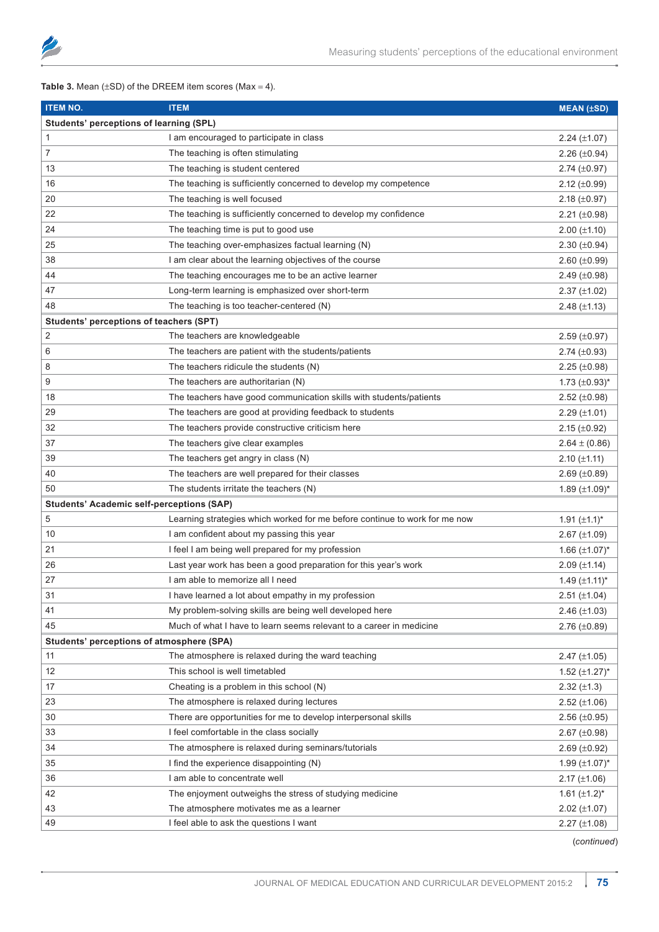

**Table 3.** Mean  $(\pm SD)$  of the DREEM item scores (Max = 4).

| <b>ITEM NO.</b>                                  | <b>ITEM</b>                                                                | <b>MEAN (±SD)</b>     |  |  |
|--------------------------------------------------|----------------------------------------------------------------------------|-----------------------|--|--|
| Students' perceptions of learning (SPL)          |                                                                            |                       |  |  |
| 1                                                | I am encouraged to participate in class                                    | $2.24 (\pm 1.07)$     |  |  |
| 7                                                | The teaching is often stimulating                                          | 2.26 $(\pm 0.94)$     |  |  |
| 13                                               | The teaching is student centered                                           | $2.74 \ (\pm 0.97)$   |  |  |
| 16                                               | The teaching is sufficiently concerned to develop my competence            | 2.12 $(\pm 0.99)$     |  |  |
| 20                                               | The teaching is well focused                                               | 2.18 $(\pm 0.97)$     |  |  |
| 22                                               | The teaching is sufficiently concerned to develop my confidence            | 2.21 $(\pm 0.98)$     |  |  |
| 24                                               | The teaching time is put to good use                                       | $2.00 (\pm 1.10)$     |  |  |
| 25                                               | The teaching over-emphasizes factual learning (N)                          | 2.30 $(\pm 0.94)$     |  |  |
| 38                                               | I am clear about the learning objectives of the course                     | $2.60 (\pm 0.99)$     |  |  |
| 44                                               | The teaching encourages me to be an active learner                         | 2.49 $(\pm 0.98)$     |  |  |
| 47                                               | Long-term learning is emphasized over short-term                           | $2.37 \ (\pm 1.02)$   |  |  |
| 48                                               | The teaching is too teacher-centered (N)                                   | 2.48 $(\pm 1.13)$     |  |  |
| Students' perceptions of teachers (SPT)          |                                                                            |                       |  |  |
| 2                                                | The teachers are knowledgeable                                             | $2.59 \ (\pm 0.97)$   |  |  |
| 6                                                | The teachers are patient with the students/patients                        | 2.74 $(\pm 0.93)$     |  |  |
| 8                                                | The teachers ridicule the students (N)                                     | $2.25 \ (\pm 0.98)$   |  |  |
| 9                                                | The teachers are authoritarian (N)                                         | 1.73 $(\pm 0.93)^{*}$ |  |  |
| 18                                               | The teachers have good communication skills with students/patients         | 2.52 $(\pm 0.98)$     |  |  |
| 29                                               | The teachers are good at providing feedback to students                    | $2.29$ ( $\pm$ 1.01)  |  |  |
| 32                                               | The teachers provide constructive criticism here                           | $2.15 \ (\pm 0.92)$   |  |  |
| 37                                               | The teachers give clear examples                                           | $2.64 \pm (0.86)$     |  |  |
| 39                                               | The teachers get angry in class (N)                                        | $2.10 \ (\pm 1.11)$   |  |  |
| 40                                               | The teachers are well prepared for their classes                           | 2.69 $(\pm 0.89)$     |  |  |
| 50                                               | The students irritate the teachers (N)                                     | 1.89 $(\pm 1.09)^*$   |  |  |
| <b>Students' Academic self-perceptions (SAP)</b> |                                                                            |                       |  |  |
| 5                                                | Learning strategies which worked for me before continue to work for me now | 1.91 $(\pm 1.1)^*$    |  |  |
| 10                                               | I am confident about my passing this year                                  | 2.67 $(\pm 1.09)$     |  |  |
| 21                                               | I feel I am being well prepared for my profession                          | 1.66 $(\pm 1.07)^*$   |  |  |
| 26                                               | Last year work has been a good preparation for this year's work            | $2.09 \ (\pm 1.14)$   |  |  |
| 27                                               | I am able to memorize all I need                                           | 1.49 $(\pm 1.11)^*$   |  |  |
| 31                                               | I have learned a lot about empathy in my profession                        | 2.51 $(\pm 1.04)$     |  |  |
| 41                                               | My problem-solving skills are being well developed here                    | 2.46 $(\pm 1.03)$     |  |  |
| 45                                               | Much of what I have to learn seems relevant to a career in medicine        | 2.76 $(\pm 0.89)$     |  |  |
| Students' perceptions of atmosphere (SPA)        |                                                                            |                       |  |  |
| 11                                               | The atmosphere is relaxed during the ward teaching                         | $2.47 \ (\pm 1.05)$   |  |  |
| 12                                               | This school is well timetabled                                             | 1.52 $(\pm 1.27)^*$   |  |  |
| 17                                               | Cheating is a problem in this school (N)                                   | $2.32 (\pm 1.3)$      |  |  |
| 23                                               | The atmosphere is relaxed during lectures                                  | $2.52 \ (\pm 1.06)$   |  |  |
| 30                                               | There are opportunities for me to develop interpersonal skills             | $2.56 \ (\pm 0.95)$   |  |  |
| 33                                               | I feel comfortable in the class socially                                   | 2.67 $(\pm 0.98)$     |  |  |
| 34                                               | The atmosphere is relaxed during seminars/tutorials                        | 2.69 $(\pm 0.92)$     |  |  |
| 35                                               | I find the experience disappointing (N)                                    | 1.99 $(\pm 1.07)^*$   |  |  |
| 36                                               | I am able to concentrate well                                              | 2.17 $(\pm 1.06)$     |  |  |
| 42                                               | The enjoyment outweighs the stress of studying medicine                    | 1.61 $(\pm 1.2)^*$    |  |  |
| 43                                               | The atmosphere motivates me as a learner                                   | $2.02 \ (\pm 1.07)$   |  |  |
| 49                                               | I feel able to ask the questions I want                                    | $2.27 (\pm 1.08)$     |  |  |

(*continued*)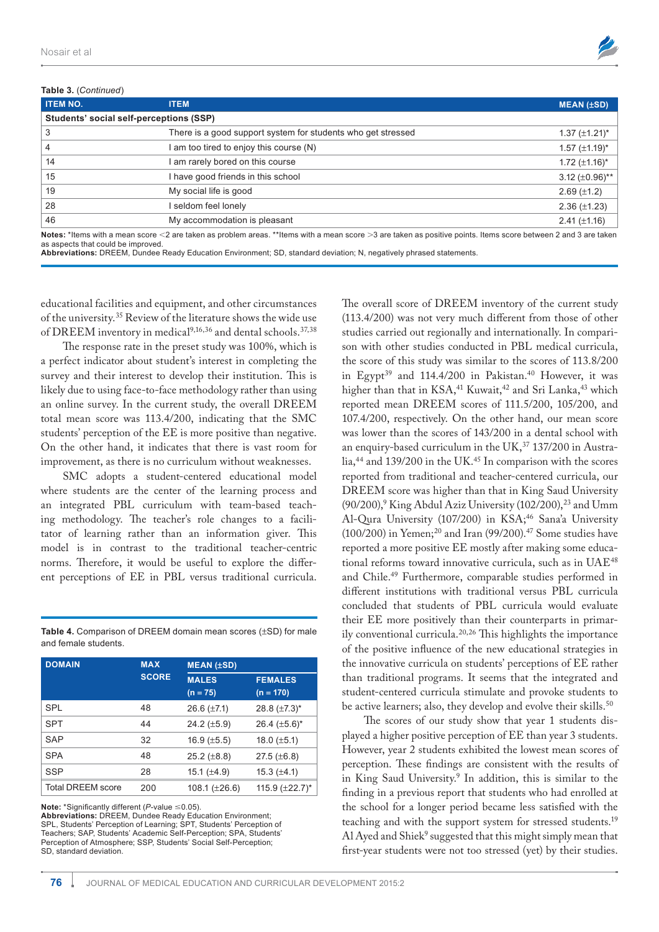#### **Table 3.** (*Continued*)



| $i$ and $j$ . (Continued)               |                                                              |                       |  |  |
|-----------------------------------------|--------------------------------------------------------------|-----------------------|--|--|
| <b>ITEM NO.</b>                         | <b>ITEM</b>                                                  | $MEAN$ ( $\pm SD$ )   |  |  |
| Students' social self-perceptions (SSP) |                                                              |                       |  |  |
| 3                                       | There is a good support system for students who get stressed | $1.37 \ (\pm 1.21)^*$ |  |  |
| 4                                       | am too tired to enjoy this course (N)                        | 1.57 $(\pm 1.19)^*$   |  |  |
| 14                                      | I am rarely bored on this course                             | 1.72 $(\pm 1.16)^*$   |  |  |
| 15                                      | I have good friends in this school                           | 3.12 $(\pm 0.96)$ **  |  |  |
| 19                                      | My social life is good                                       | $2.69 (\pm 1.2)$      |  |  |
| 28                                      | I seldom feel lonely                                         | $2.36 \ (\pm 1.23)$   |  |  |
| 46                                      | My accommodation is pleasant                                 | $2.41 (\pm 1.16)$     |  |  |
|                                         |                                                              |                       |  |  |

Notes: \*Items with a mean score <2 are taken as problem areas. \*\*Items with a mean score >3 are taken as positive points. Items score between 2 and 3 are taken as aspects that could be improved. Abbreviations: DREEM, Dundee Ready Education Environment; SD, standard deviation; N, negatively phrased statements

educational facilities and equipment, and other circumstances of the university.<sup>35</sup> Review of the literature shows the wide use of DREEM inventory in medical<sup>9,16,36</sup> and dental schools.<sup>37,38</sup>

The response rate in the preset study was 100%, which is a perfect indicator about student's interest in completing the survey and their interest to develop their institution. This is likely due to using face-to-face methodology rather than using an online survey. In the current study, the overall DREEM total mean score was 113.4/200, indicating that the SMC students' perception of the EE is more positive than negative. On the other hand, it indicates that there is vast room for improvement, as there is no curriculum without weaknesses.

SMC adopts a student-centered educational model where students are the center of the learning process and an integrated PBL curriculum with team-based teaching methodology. The teacher's role changes to a facilitator of learning rather than an information giver. This model is in contrast to the traditional teacher-centric norms. Therefore, it would be useful to explore the different perceptions of EE in PBL versus traditional curricula.

**Table 4.** Comparison of DREEM domain mean scores ( $\pm$ SD) for male and female students.

| <b>DOMAIN</b>            | <b>MAX</b><br><b>SCORE</b> | $MEAN$ ( $\pm SD$ )        |                               |  |
|--------------------------|----------------------------|----------------------------|-------------------------------|--|
|                          |                            | <b>MALES</b><br>$(n = 75)$ | <b>FEMALES</b><br>$(n = 170)$ |  |
| <b>SPL</b>               | 48                         | 26.6 $(\pm 7.1)$           | 28.8 $(\pm 7.3)^*$            |  |
| <b>SPT</b>               | 44                         | 24.2 $(\pm 5.9)$           | 26.4 $(\pm 5.6)^*$            |  |
| <b>SAP</b>               | 32                         | $16.9 \ (\pm 5.5)$         | 18.0 $(\pm 5.1)$              |  |
| <b>SPA</b>               | 48                         | $25.2 (\pm 8.8)$           | $27.5 (\pm 6.8)$              |  |
| <b>SSP</b>               | 28                         | 15.1 $(\pm 4.9)$           | 15.3 $(\pm 4.1)$              |  |
| <b>Total DREEM score</b> | 200                        | 108.1 $(\pm 26.6)$         | 115.9 $(\pm 22.7)^*$          |  |

**Note:** \*Significantly different ( $P$ -value  $\leq 0.05$ ). **Abbreviations:** DREEM, Dundee Ready Education Environment;<br>SPL, Students' Perception of Learning; SPT, Students' Perception of Teachers: SAP, Students' Academic Self-Perception: SPA, Students perception of atmosphere; SSp, Students' Social Self-perception; SD, standard deviation.

The overall score of DREEM inventory of the current study (113.4/200) was not very much different from those of other studies carried out regionally and internationally. In comparison with other studies conducted in PBL medical curricula, the score of this study was similar to the scores of 113.8/200 in Egypt<sup>39</sup> and 114.4/200 in Pakistan.<sup>40</sup> However, it was higher than that in KSA,<sup>41</sup> Kuwait,<sup>42</sup> and Sri Lanka,<sup>43</sup> which reported mean DREEM scores of 111.5/200, 105/200, and 107.4/200, respectively. On the other hand, our mean score was lower than the scores of 143/200 in a dental school with an enquiry-based curriculum in the UK,<sup>37</sup> 137/200 in Australia,<sup>44</sup> and 139/200 in the UK.<sup>45</sup> In comparison with the scores reported from traditional and teacher-centered curricula, our DREEM score was higher than that in King Saud University (90/200),<sup>9</sup> King Abdul Aziz University (102/200),<sup>23</sup> and Umm Al-Qura University (107/200) in KSA;<sup>46</sup> Sana'a University  $(100/200)$  in Yemen;<sup>20</sup> and Iran (99/200).<sup>47</sup> Some studies have reported a more positive EE mostly after making some educational reforms toward innovative curricula, such as in UAE<sup>48</sup> and Chile.<sup>49</sup> Furthermore, comparable studies performed in different institutions with traditional versus PBL curricula concluded that students of PBL curricula would evaluate their EE more positively than their counterparts in primarily conventional curricula.20,26 This highlights the importance of the positive influence of the new educational strategies in the innovative curricula on students' perceptions of EE rather than traditional programs. It seems that the integrated and student-centered curricula stimulate and provoke students to be active learners; also, they develop and evolve their skills.<sup>50</sup>

The scores of our study show that year 1 students displayed a higher positive perception of EE than year 3 students. However, year 2 students exhibited the lowest mean scores of perception. These findings are consistent with the results of in King Saud University.<sup>9</sup> In addition, this is similar to the finding in a previous report that students who had enrolled at the school for a longer period became less satisfied with the teaching and with the support system for stressed students.<sup>19</sup> Al Ayed and Shiek<sup>9</sup> suggested that this might simply mean that first-year students were not too stressed (yet) by their studies.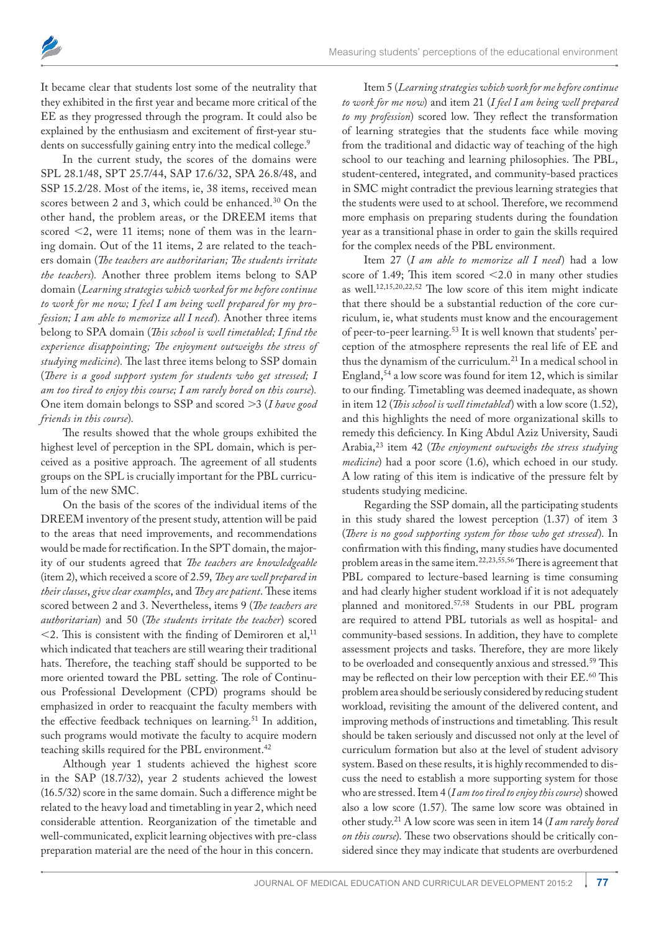It became clear that students lost some of the neutrality that they exhibited in the first year and became more critical of the EE as they progressed through the program. It could also be explained by the enthusiasm and excitement of first-year students on successfully gaining entry into the medical college.<sup>9</sup>

In the current study, the scores of the domains were SPL 28.1/48, SPT 25.7/44, SAP 17.6/32, SPA 26.8/48, and SSP 15.2/28. Most of the items, ie, 38 items, received mean scores between 2 and 3, which could be enhanced.<sup>30</sup> On the other hand, the problem areas, or the DREEM items that scored <2, were 11 items; none of them was in the learning domain. Out of the 11 items, 2 are related to the teachers domain (*The teachers are authoritarian; The students irritate the teachers*)*.* Another three problem items belong to SAP domain (*Learning strategies which worked for me before continue to work for me now; I feel I am being well prepared for my profession; I am able to memorize all I need*)*.* Another three items belong to SPA domain (*This school is well timetabled; I find the experience disappointing; The enjoyment outweighs the stress of studying medicine*)*.* The last three items belong to SSP domain (*There is a good support system for students who get stressed; I am too tired to enjoy this course; I am rarely bored on this course*)*.*  One item domain belongs to SSP and scored  $>3$  (*I have good friends in this course*)*.*

The results showed that the whole groups exhibited the highest level of perception in the SPL domain, which is perceived as a positive approach. The agreement of all students groups on the SPL is crucially important for the PBL curriculum of the new SMC.

On the basis of the scores of the individual items of the DREEM inventory of the present study, attention will be paid to the areas that need improvements, and recommendations would be made for rectification. In the SPT domain, the majority of our students agreed that *The teachers are knowledgeable*  (item 2), which received a score of 2.59, *They are well prepared in their classes*, *give clear examples*, and *They are patient*. These items scored between 2 and 3. Nevertheless, items 9 (*The teachers are authoritarian*) and 50 (*The students irritate the teacher*) scored  $<$ 2. This is consistent with the finding of Demiroren et al,<sup>11</sup> which indicated that teachers are still wearing their traditional hats. Therefore, the teaching staff should be supported to be more oriented toward the PBL setting. The role of Continuous Professional Development (CPD) programs should be emphasized in order to reacquaint the faculty members with the effective feedback techniques on learning.<sup>51</sup> In addition, such programs would motivate the faculty to acquire modern teaching skills required for the PBL environment.<sup>42</sup>

Although year 1 students achieved the highest score in the SAP (18.7/32), year 2 students achieved the lowest (16.5/32) score in the same domain. Such a difference might be related to the heavy load and timetabling in year 2, which need considerable attention. Reorganization of the timetable and well-communicated, explicit learning objectives with pre-class preparation material are the need of the hour in this concern.

Item 5 (*Learning strategies which work for me before continue to work for me now*) and item 21 (*I feel I am being well prepared to my profession*) scored low. They reflect the transformation of learning strategies that the students face while moving from the traditional and didactic way of teaching of the high school to our teaching and learning philosophies. The PBL, student-centered, integrated, and community-based practices in SMC might contradict the previous learning strategies that the students were used to at school. Therefore, we recommend more emphasis on preparing students during the foundation year as a transitional phase in order to gain the skills required for the complex needs of the PBL environment.

Item 27 (*I am able to memorize all I need*) had a low score of 1.49; This item scored  $\leq$  2.0 in many other studies as well.12,15,20,22,52 The low score of this item might indicate that there should be a substantial reduction of the core curriculum, ie, what students must know and the encouragement of peer-to-peer learning.53 It is well known that students' perception of the atmosphere represents the real life of EE and thus the dynamism of the curriculum.<sup>21</sup> In a medical school in England, $54$  a low score was found for item 12, which is similar to our finding. Timetabling was deemed inadequate, as shown in item 12 (*This school is well timetabled*) with a low score (1.52), and this highlights the need of more organizational skills to remedy this deficiency. In King Abdul Aziz University, Saudi Arabia,<sup>23</sup> item 42 (*The enjoyment outweighs the stress studying medicine*) had a poor score (1.6), which echoed in our study. A low rating of this item is indicative of the pressure felt by students studying medicine.

Regarding the SSP domain, all the participating students in this study shared the lowest perception (1.37) of item 3 (*There is no good supporting system for those who get stressed*). In confirmation with this finding, many studies have documented problem areas in the same item.22,23,55,56 There is agreement that PBL compared to lecture-based learning is time consuming and had clearly higher student workload if it is not adequately planned and monitored.57,58 Students in our PBL program are required to attend PBL tutorials as well as hospital- and community-based sessions. In addition, they have to complete assessment projects and tasks. Therefore, they are more likely to be overloaded and consequently anxious and stressed.<sup>59</sup> This may be reflected on their low perception with their EE.<sup>60</sup> This problem area should be seriously considered by reducing student workload, revisiting the amount of the delivered content, and improving methods of instructions and timetabling. This result should be taken seriously and discussed not only at the level of curriculum formation but also at the level of student advisory system. Based on these results, it is highly recommended to discuss the need to establish a more supporting system for those who are stressed. Item 4 (*I am too tired to enjoy this course*) showed also a low score (1.57). The same low score was obtained in other study.<sup>21</sup> A low score was seen in item 14 (*I am rarely bored on this course*). These two observations should be critically considered since they may indicate that students are overburdened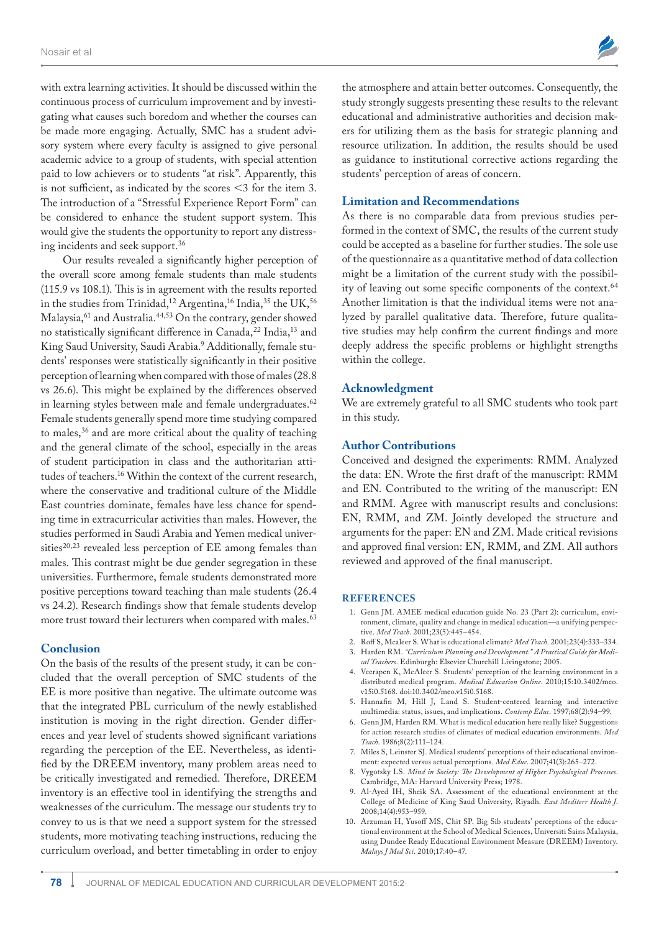with extra learning activities. It should be discussed within the continuous process of curriculum improvement and by investigating what causes such boredom and whether the courses can be made more engaging. Actually, SMC has a student advisory system where every faculty is assigned to give personal academic advice to a group of students, with special attention paid to low achievers or to students "at risk". Apparently, this is not sufficient, as indicated by the scores  $\leq$ 3 for the item 3. The introduction of a "Stressful Experience Report Form" can be considered to enhance the student support system. This would give the students the opportunity to report any distressing incidents and seek support.<sup>36</sup>

Our results revealed a significantly higher perception of the overall score among female students than male students (115.9 vs 108.1). This is in agreement with the results reported in the studies from Trinidad,<sup>12</sup> Argentina,<sup>16</sup> India,<sup>35</sup> the UK,<sup>56</sup> Malaysia,<sup>61</sup> and Australia.<sup>44,53</sup> On the contrary, gender showed no statistically significant difference in Canada,<sup>22</sup> India,<sup>13</sup> and King Saud University, Saudi Arabia.<sup>9</sup> Additionally, female students' responses were statistically significantly in their positive perception of learning when compared with those of males (28.8 vs 26.6). This might be explained by the differences observed in learning styles between male and female undergraduates.<sup>62</sup> Female students generally spend more time studying compared to males,<sup>36</sup> and are more critical about the quality of teaching and the general climate of the school, especially in the areas of student participation in class and the authoritarian attitudes of teachers.<sup>16</sup> Within the context of the current research, where the conservative and traditional culture of the Middle East countries dominate, females have less chance for spending time in extracurricular activities than males. However, the studies performed in Saudi Arabia and Yemen medical universities $20,23$  revealed less perception of EE among females than males. This contrast might be due gender segregation in these universities. Furthermore, female students demonstrated more positive perceptions toward teaching than male students (26.4 vs 24.2). Research findings show that female students develop more trust toward their lecturers when compared with males.<sup>63</sup>

#### **Conclusion**

On the basis of the results of the present study, it can be concluded that the overall perception of SMC students of the EE is more positive than negative. The ultimate outcome was that the integrated PBL curriculum of the newly established institution is moving in the right direction. Gender differences and year level of students showed significant variations regarding the perception of the EE. Nevertheless, as identified by the DREEM inventory, many problem areas need to be critically investigated and remedied. Therefore, DREEM inventory is an effective tool in identifying the strengths and weaknesses of the curriculum. The message our students try to convey to us is that we need a support system for the stressed students, more motivating teaching instructions, reducing the curriculum overload, and better timetabling in order to enjoy



the atmosphere and attain better outcomes. Consequently, the study strongly suggests presenting these results to the relevant educational and administrative authorities and decision makers for utilizing them as the basis for strategic planning and resource utilization. In addition, the results should be used as guidance to institutional corrective actions regarding the students' perception of areas of concern.

#### **Limitation and Recommendations**

As there is no comparable data from previous studies performed in the context of SMC, the results of the current study could be accepted as a baseline for further studies. The sole use of the questionnaire as a quantitative method of data collection might be a limitation of the current study with the possibility of leaving out some specific components of the context.<sup>64</sup> Another limitation is that the individual items were not analyzed by parallel qualitative data. Therefore, future qualitative studies may help confirm the current findings and more deeply address the specific problems or highlight strengths within the college.

#### **Acknowledgment**

We are extremely grateful to all SMC students who took part in this study.

#### **Author Contributions**

Conceived and designed the experiments: RMM. Analyzed the data: EN. Wrote the first draft of the manuscript: RMM and EN. Contributed to the writing of the manuscript: EN and RMM. Agree with manuscript results and conclusions: EN, RMM, and ZM. Jointly developed the structure and arguments for the paper: EN and ZM. Made critical revisions and approved final version: EN, RMM, and ZM. All authors reviewed and approved of the final manuscript.

#### **REFERENCES**

- 1. Genn JM. AMEE medical education guide No. 23 (Part 2): curriculum, environment, climate, quality and change in medical education—a unifying perspective. *Med Teach*. 2001;23(5):445–454.
- 2. Roff S, Mcaleer S. What is educational climate? *Med Teach*. 2001;23(4):333–334.
- 3. Harden RM. *"Curriculum Planning and Development." A Practical Guide for Medical Teachers*. Edinburgh: Elsevier Churchill Livingstone; 2005.
- 4. Veerapen K, McAleer S. Students' perception of the learning environment in a distributed medical program. *Medical Education Online*. 2010;15:10.3402/meo. v15i0.5168. doi:10.3402/meo.v15i0.5168.
- 5. Hannafin M, Hill J, Land S. Student-centered learning and interactive multimedia: status, issues, and implications. *Contemp Educ*. 1997;68(2):94–99.
- 6. Genn JM, Harden RM. What is medical education here really like? Suggestions for action research studies of climates of medical education environments. *Med Teach*. 1986;8(2):111–124.
- 7. Miles S, Leinster SJ. Medical students' perceptions of their educational environment: expected versus actual perceptions. *Med Educ*. 2007;41(3):265–272.
- 8. Vygotsky LS. *Mind in Society: The Development of Higher Psychological Processes*. Cambridge, MA: Harvard University Press; 1978.
- 9. Al-Ayed IH, Sheik SA. Assessment of the educational environment at the College of Medicine of King Saud University, Riyadh. *East Mediterr Health J*. 2008;14(4):953–959.
- 10. Arzuman H, Yusoff MS, Chit SP. Big Sib students' perceptions of the educational environment at the School of Medical Sciences, Universiti Sains Malaysia, using Dundee Ready Educational Environment Measure (DREEM) Inventory. *Malays J Med Sci*. 2010;17:40–47.